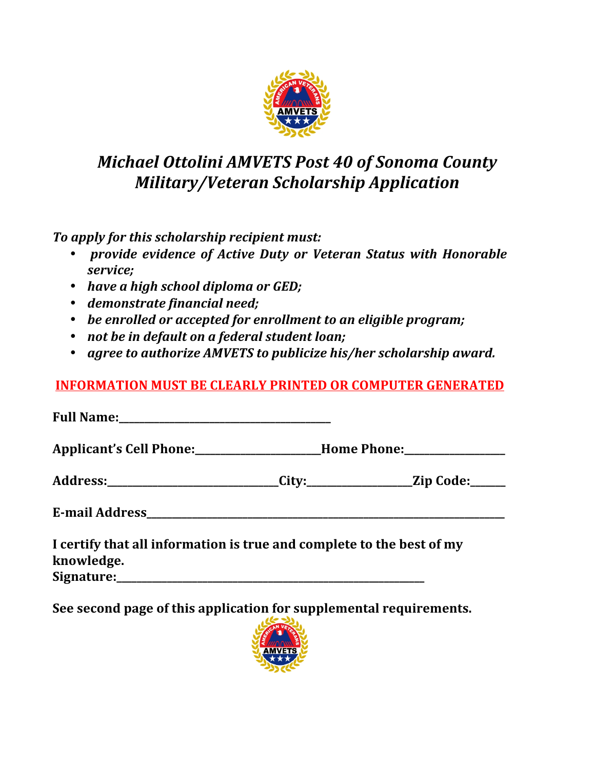

## *Michael Ottolini AMVETS Post 40 of Sonoma County Military/Veteran Scholarship Application*

*To apply for this scholarship recipient must:*

- *provide evidence of Active Duty or Veteran Status with Honorable service;*
- *have a high school diploma or GED;*
- *demonstrate financial need;*
- be enrolled or accepted for enrollment to an eligible program;
- *not be in default on a federal student loan;*
- *agree to authorize AMVETS to publicize his/her scholarship award.*

## **INFORMATION MUST BE CLEARLY PRINTED OR COMPUTER GENERATED**

**Full Name:** Applicant's Cell Phone: **\_\_\_\_\_\_\_\_\_\_\_\_\_\_\_\_\_\_\_\_Home Phone:** Address:\_\_\_\_\_\_\_\_\_\_\_\_\_\_\_\_\_\_\_\_\_\_\_\_\_\_\_City:\_\_\_\_\_\_\_\_\_\_\_\_\_\_\_\_\_\_\_Zip Code:\_\_\_\_\_\_ **E-mail Address\_\_\_\_\_\_\_\_\_\_\_\_\_\_\_\_\_\_\_\_\_\_\_\_\_\_\_\_\_\_\_\_\_\_\_\_\_\_\_\_\_\_\_\_\_\_\_\_\_\_\_\_\_\_\_\_\_\_\_\_\_\_\_\_\_\_\_\_\_\_\_**

**I** certify that all information is true and complete to the best of my **knowledge.** Signature:

**See second page of this application for supplemental requirements.**